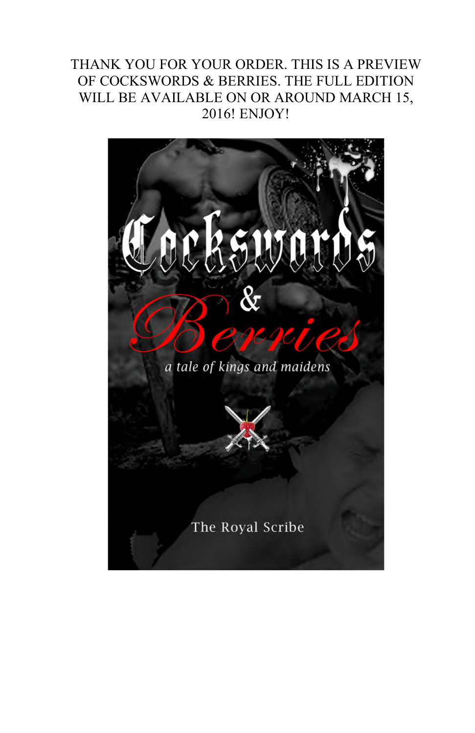#### THANK YOU FOR YOUR ORDER. THIS IS A PREVIEW OF COCKSWORDS & BERRIES. THE FULL EDITION WILL BE AVAILABLE ON OR AROUND MARCH 15, 2016! ENJOY!

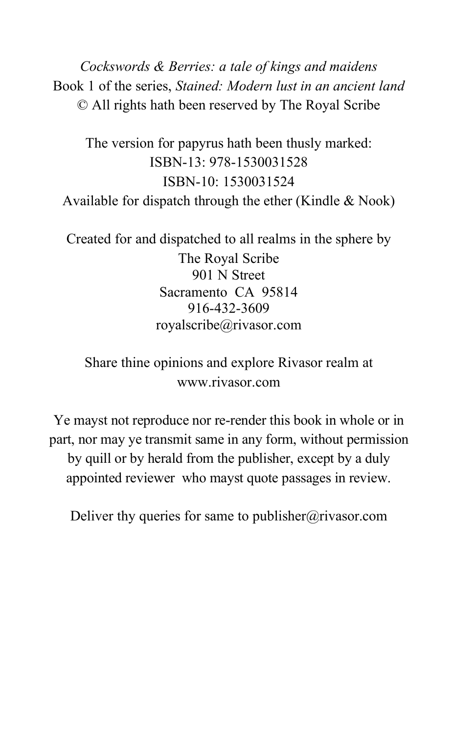*Cockswords & Berries: a tale of kings and maidens* Book 1 of the series, *Stained: Modern lust in an ancient land* © All rights hath been reserved by The Royal Scribe

The version for papyrus hath been thusly marked: ISBN-13: 978-1530031528 ISBN-10: 1530031524 Available for dispatch through the ether (Kindle & Nook)

Created for and dispatched to all realms in the sphere by The Royal Scribe 901 N Street Sacramento CA 95814 916-432-3609 royalscribe@rivasor.com

Share thine opinions and explore Rivasor realm at www.rivasor.com

Ye mayst not reproduce nor re-render this book in whole or in part, nor may ye transmit same in any form, without permission by quill or by herald from the publisher, except by a duly appointed reviewer who mayst quote passages in review.

Deliver thy queries for same to publisher@rivasor.com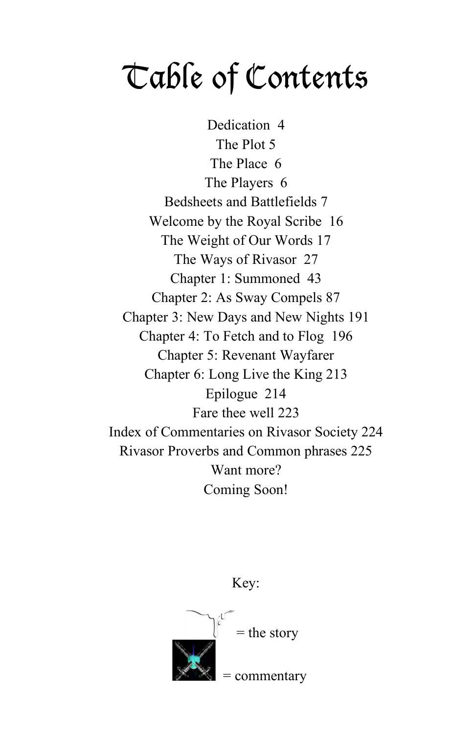## Table of Contents

Dedication 4 The Plot 5 The Place 6 The Players 6 Bedsheets and Battlefields 7 Welcome by the Royal Scribe 16 The Weight of Our Words 17 The Ways of Rivasor 27 Chapter 1: Summoned 43 Chapter 2: As Sway Compels 87 Chapter 3: New Days and New Nights 191 Chapter 4: To Fetch and to Flog 196 Chapter 5: Revenant Wayfarer Chapter 6: Long Live the King 213 Epilogue 214 Fare thee well 223 Index of Commentaries on Rivasor Society 224 Rivasor Proverbs and Common phrases 225 Want more? Coming Soon!

Key:

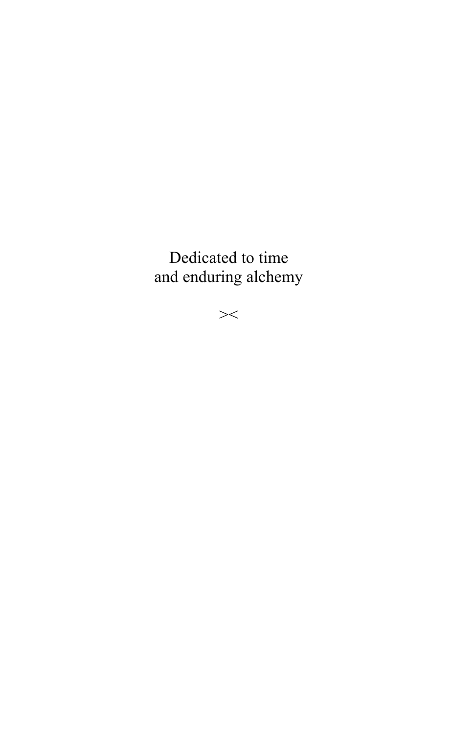Dedicated to time and enduring alchemy

 $>\lt$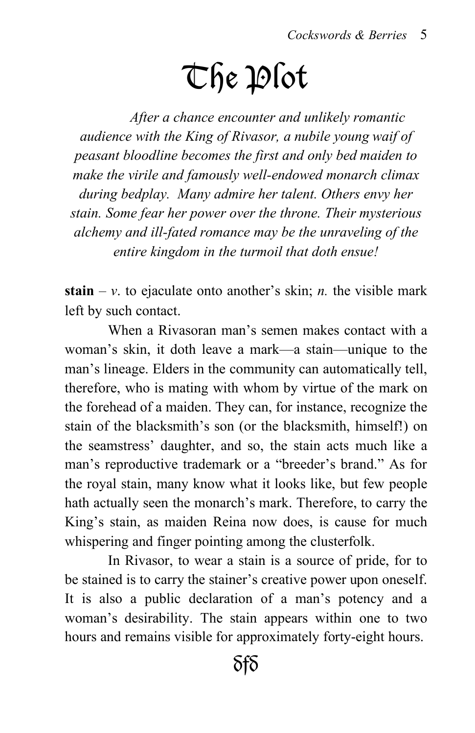# The Plot

*After a chance encounter and unlikely romantic audience with the King of Rivasor, a nubile young waif of peasant bloodline becomes the first and only bed maiden to make the virile and famously well-endowed monarch climax during bedplay. Many admire her talent. Others envy her stain. Some fear her power over the throne. Their mysterious alchemy and ill-fated romance may be the unraveling of the entire kingdom in the turmoil that doth ensue!*

**stain** –  $v$ . to ejaculate onto another's skin; *n*. the visible mark left by such contact.

When a Rivasoran man's semen makes contact with a woman's skin, it doth leave a mark—a stain—unique to the man's lineage. Elders in the community can automatically tell, therefore, who is mating with whom by virtue of the mark on the forehead of a maiden. They can, for instance, recognize the stain of the blacksmith's son (or the blacksmith, himself!) on the seamstress' daughter, and so, the stain acts much like a man's reproductive trademark or a "breeder's brand." As for the royal stain, many know what it looks like, but few people hath actually seen the monarch's mark. Therefore, to carry the King's stain, as maiden Reina now does, is cause for much whispering and finger pointing among the clusterfolk.

In Rivasor, to wear a stain is a source of pride, for to be stained is to carry the stainer's creative power upon oneself. It is also a public declaration of a man's potency and a woman's desirability. The stain appears within one to two hours and remains visible for approximately forty-eight hours.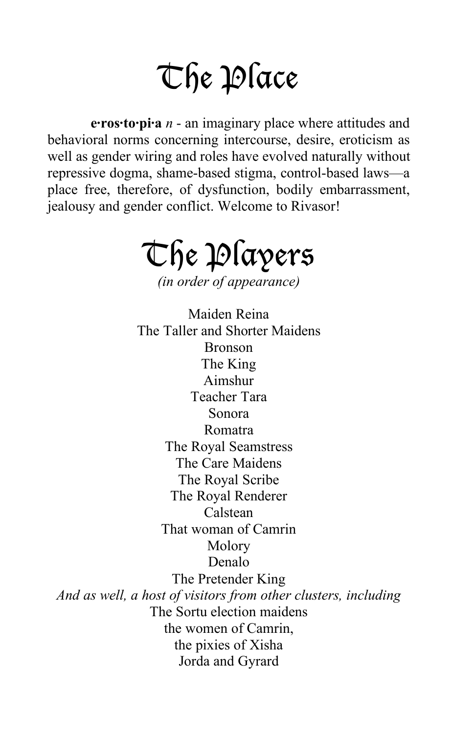## The Place

**e·ros·to·pi·a** *n* - an imaginary place where attitudes and behavioral norms concerning intercourse, desire, eroticism as well as gender wiring and roles have evolved naturally without repressive dogma, shame-based stigma, control-based laws—a place free, therefore, of dysfunction, bodily embarrassment, jealousy and gender conflict. Welcome to Rivasor!

## The Players

*(in order of appearance)*

Maiden Reina The Taller and Shorter Maidens Bronson The King Aimshur Teacher Tara Sonora Romatra The Royal Seamstress The Care Maidens The Royal Scribe The Royal Renderer Calstean That woman of Camrin Molory Denalo The Pretender King *And as well, a host of visitors from other clusters, including* The Sortu election maidens the women of Camrin, the pixies of Xisha Jorda and Gyrard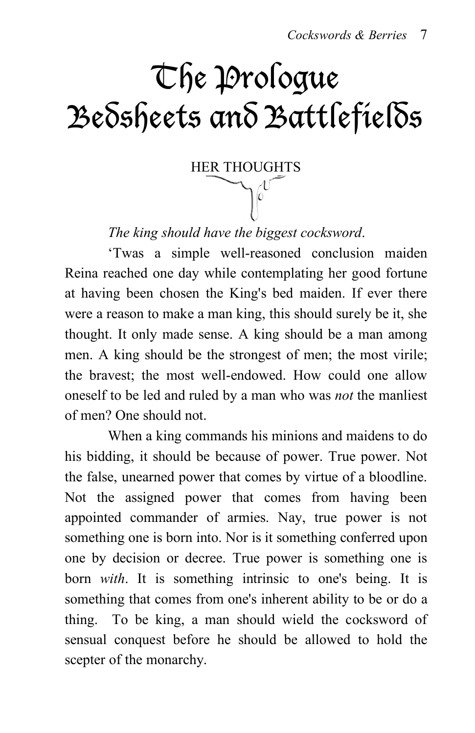# The Prologue Bedsheets and Battlefields



*The king should have the biggest cocksword*.

'Twas a simple well-reasoned conclusion maiden Reina reached one day while contemplating her good fortune at having been chosen the King's bed maiden. If ever there were a reason to make a man king, this should surely be it, she thought. It only made sense. A king should be a man among men. A king should be the strongest of men; the most virile; the bravest; the most well-endowed. How could one allow oneself to be led and ruled by a man who was *not* the manliest of men? One should not.

When a king commands his minions and maidens to do his bidding, it should be because of power. True power. Not the false, unearned power that comes by virtue of a bloodline. Not the assigned power that comes from having been appointed commander of armies. Nay, true power is not something one is born into. Nor is it something conferred upon one by decision or decree. True power is something one is born *with*. It is something intrinsic to one's being. It is something that comes from one's inherent ability to be or do a thing. To be king, a man should wield the cocksword of sensual conquest before he should be allowed to hold the scepter of the monarchy.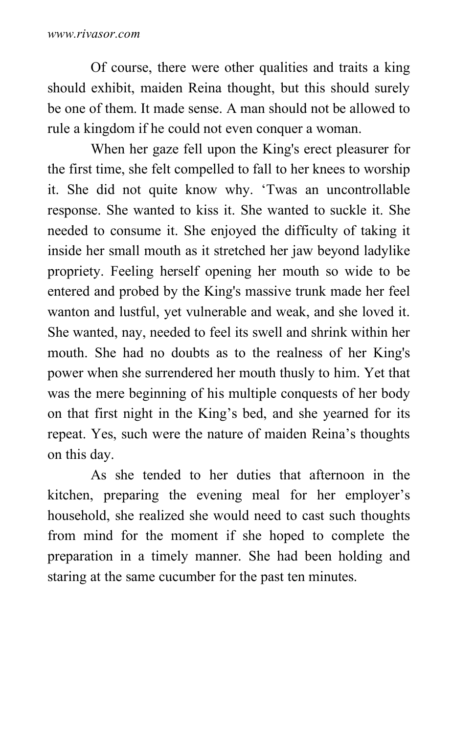Of course, there were other qualities and traits a king should exhibit, maiden Reina thought, but this should surely be one of them. It made sense. A man should not be allowed to rule a kingdom if he could not even conquer a woman.

When her gaze fell upon the King's erect pleasurer for the first time, she felt compelled to fall to her knees to worship it. She did not quite know why. 'Twas an uncontrollable response. She wanted to kiss it. She wanted to suckle it. She needed to consume it. She enjoyed the difficulty of taking it inside her small mouth as it stretched her jaw beyond ladylike propriety. Feeling herself opening her mouth so wide to be entered and probed by the King's massive trunk made her feel wanton and lustful, yet vulnerable and weak, and she loved it. She wanted, nay, needed to feel its swell and shrink within her mouth. She had no doubts as to the realness of her King's power when she surrendered her mouth thusly to him. Yet that was the mere beginning of his multiple conquests of her body on that first night in the King's bed, and she yearned for its repeat. Yes, such were the nature of maiden Reina's thoughts on this day.

As she tended to her duties that afternoon in the kitchen, preparing the evening meal for her employer's household, she realized she would need to cast such thoughts from mind for the moment if she hoped to complete the preparation in a timely manner. She had been holding and staring at the same cucumber for the past ten minutes.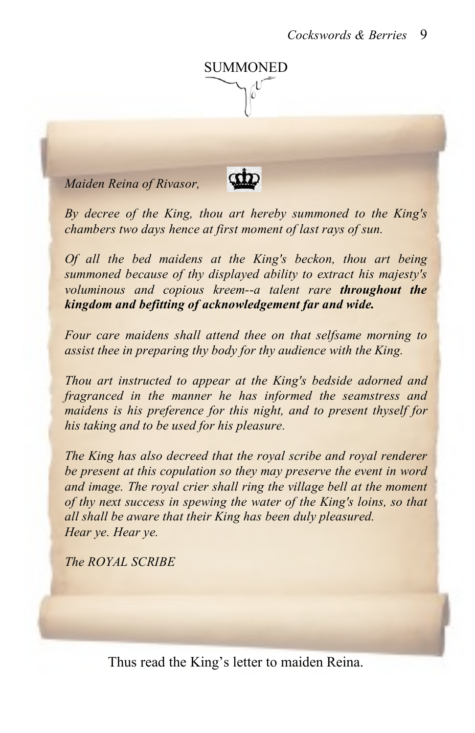

*Maiden Reina of Rivasor,*



*By decree of the King, thou art hereby summoned to the King's chambers two days hence at first moment of last rays of sun.*

*Of all the bed maidens at the King's beckon, thou art being summoned because of thy displayed ability to extract his majesty's voluminous and copious kreem--a talent rare throughout the kingdom and befitting of acknowledgement far and wide.*

*Four care maidens shall attend thee on that selfsame morning to assist thee in preparing thy body for thy audience with the King.*

*Thou art instructed to appear at the King's bedside adorned and fragranced in the manner he has informed the seamstress and maidens is his preference for this night, and to present thyself for his taking and to be used for his pleasure.*

*The King has also decreed that the royal scribe and royal renderer be present at this copulation so they may preserve the event in word and image. The royal crier shall ring the village bell at the moment of thy next success in spewing the water of the King's loins, so that all shall be aware that their King has been duly pleasured. Hear ye. Hear ye.* 

*The ROYAL SCRIBE*

Thus read the King's letter to maiden Reina.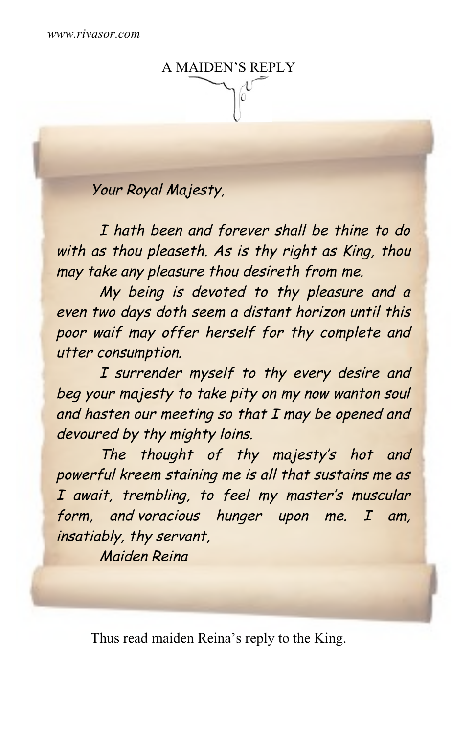

Your Royal Majesty,

I hath been and forever shall be thine to do with as thou pleaseth. As is thy right as King, thou may take any pleasure thou desireth from me.

My being is devoted to thy pleasure and a even two days doth seem a distant horizon until this poor waif may offer herself for thy complete and utter consumption.

I surrender myself to thy every desire and beg your majesty to take pity on my now wanton soul and hasten our meeting so that I may be opened and devoured by thy mighty loins.

The thought of thy majesty's hot and powerful kreem staining me is all that sustains me as I await, trembling, to feel my master's muscular form, and voracious hunger upon me. I am, insatiably, thy servant,

Maiden Reina

Thus read maiden Reina's reply to the King.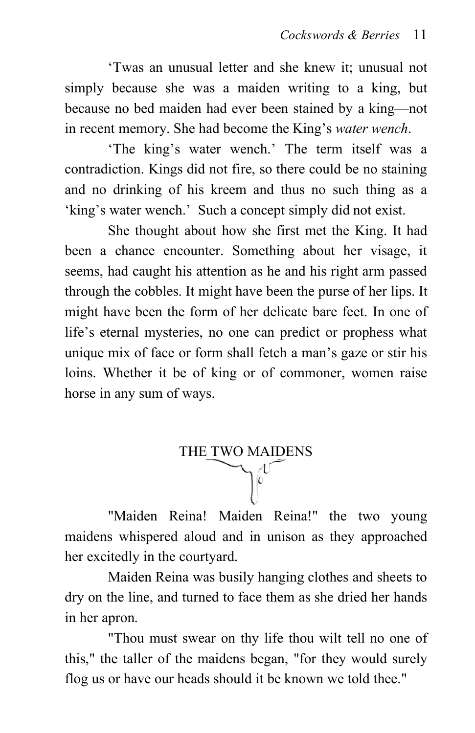'Twas an unusual letter and she knew it; unusual not simply because she was a maiden writing to a king, but because no bed maiden had ever been stained by a king—not in recent memory. She had become the King's *water wench*.

'The king's water wench.' The term itself was a contradiction. Kings did not fire, so there could be no staining and no drinking of his kreem and thus no such thing as a 'king's water wench.' Such a concept simply did not exist.

She thought about how she first met the King. It had been a chance encounter. Something about her visage, it seems, had caught his attention as he and his right arm passed through the cobbles. It might have been the purse of her lips. It might have been the form of her delicate bare feet. In one of life's eternal mysteries, no one can predict or prophess what unique mix of face or form shall fetch a man's gaze or stir his loins. Whether it be of king or of commoner, women raise horse in any sum of ways.



"Maiden Reina! Maiden Reina!" the two young maidens whispered aloud and in unison as they approached her excitedly in the courtyard.

Maiden Reina was busily hanging clothes and sheets to dry on the line, and turned to face them as she dried her hands in her apron.

"Thou must swear on thy life thou wilt tell no one of this," the taller of the maidens began, "for they would surely flog us or have our heads should it be known we told thee."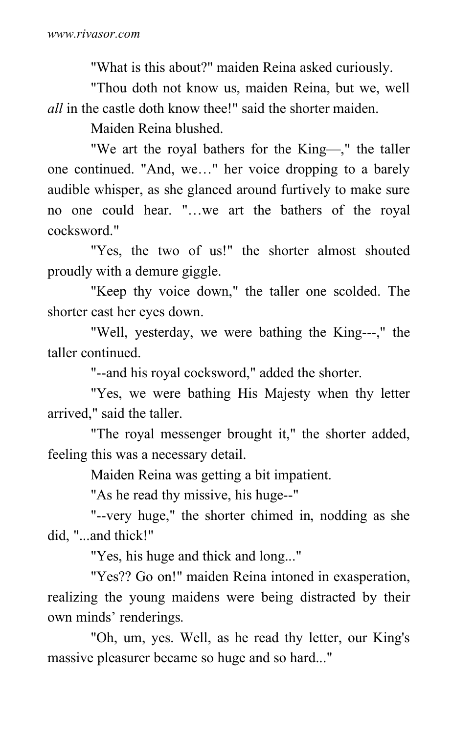"What is this about?" maiden Reina asked curiously.

"Thou doth not know us, maiden Reina, but we, well *all* in the castle doth know thee!" said the shorter maiden.

Maiden Reina blushed.

"We art the royal bathers for the King—," the taller one continued. "And, we…" her voice dropping to a barely audible whisper, as she glanced around furtively to make sure no one could hear. "…we art the bathers of the royal cocksword."

"Yes, the two of us!" the shorter almost shouted proudly with a demure giggle.

"Keep thy voice down," the taller one scolded. The shorter cast her eyes down.

"Well, yesterday, we were bathing the King---," the taller continued.

"--and his royal cocksword," added the shorter.

"Yes, we were bathing His Majesty when thy letter arrived," said the taller.

"The royal messenger brought it," the shorter added, feeling this was a necessary detail.

Maiden Reina was getting a bit impatient.

"As he read thy missive, his huge--"

"--very huge," the shorter chimed in, nodding as she did, "...and thick!"

"Yes, his huge and thick and long..."

"Yes?? Go on!" maiden Reina intoned in exasperation, realizing the young maidens were being distracted by their own minds' renderings.

"Oh, um, yes. Well, as he read thy letter, our King's massive pleasurer became so huge and so hard..."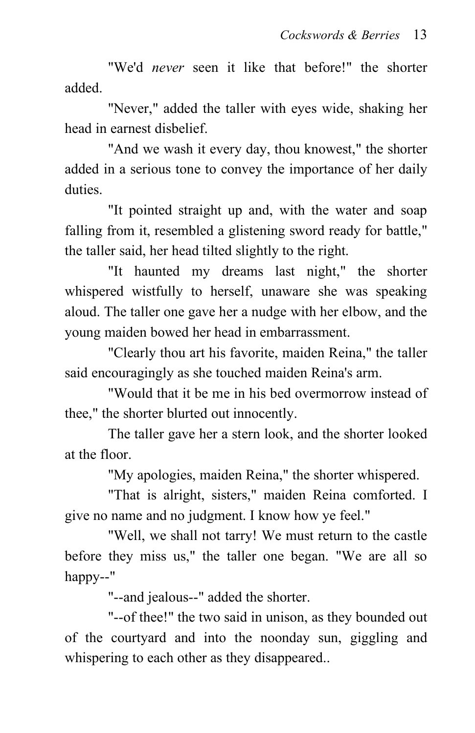"We'd *never* seen it like that before!" the shorter added.

"Never," added the taller with eyes wide, shaking her head in earnest disbelief.

"And we wash it every day, thou knowest," the shorter added in a serious tone to convey the importance of her daily duties.

"It pointed straight up and, with the water and soap falling from it, resembled a glistening sword ready for battle," the taller said, her head tilted slightly to the right.

"It haunted my dreams last night," the shorter whispered wistfully to herself, unaware she was speaking aloud. The taller one gave her a nudge with her elbow, and the young maiden bowed her head in embarrassment.

"Clearly thou art his favorite, maiden Reina," the taller said encouragingly as she touched maiden Reina's arm.

"Would that it be me in his bed overmorrow instead of thee," the shorter blurted out innocently.

The taller gave her a stern look, and the shorter looked at the floor.

"My apologies, maiden Reina," the shorter whispered.

"That is alright, sisters," maiden Reina comforted. I give no name and no judgment. I know how ye feel."

"Well, we shall not tarry! We must return to the castle before they miss us," the taller one began. "We are all so happy--"

"--and jealous--" added the shorter.

"--of thee!" the two said in unison, as they bounded out of the courtyard and into the noonday sun, giggling and whispering to each other as they disappeared...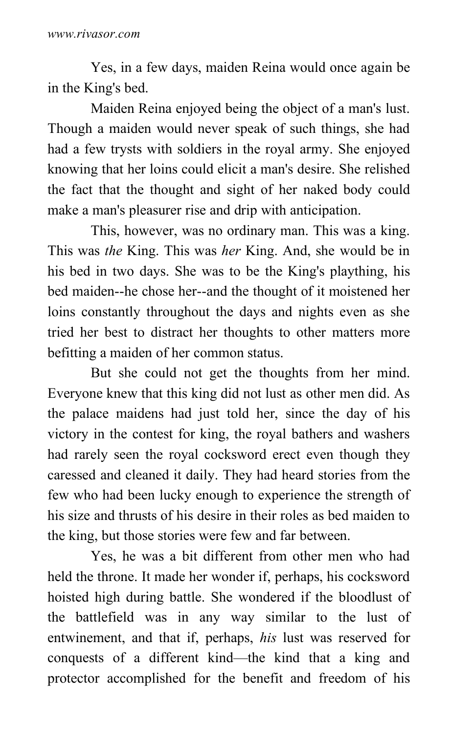Yes, in a few days, maiden Reina would once again be in the King's bed.

Maiden Reina enjoyed being the object of a man's lust. Though a maiden would never speak of such things, she had had a few trysts with soldiers in the royal army. She enjoyed knowing that her loins could elicit a man's desire. She relished the fact that the thought and sight of her naked body could make a man's pleasurer rise and drip with anticipation.

This, however, was no ordinary man. This was a king. This was *the* King. This was *her* King. And, she would be in his bed in two days. She was to be the King's plaything, his bed maiden--he chose her--and the thought of it moistened her loins constantly throughout the days and nights even as she tried her best to distract her thoughts to other matters more befitting a maiden of her common status.

But she could not get the thoughts from her mind. Everyone knew that this king did not lust as other men did. As the palace maidens had just told her, since the day of his victory in the contest for king, the royal bathers and washers had rarely seen the royal cocksword erect even though they caressed and cleaned it daily. They had heard stories from the few who had been lucky enough to experience the strength of his size and thrusts of his desire in their roles as bed maiden to the king, but those stories were few and far between.

Yes, he was a bit different from other men who had held the throne. It made her wonder if, perhaps, his cocksword hoisted high during battle. She wondered if the bloodlust of the battlefield was in any way similar to the lust of entwinement, and that if, perhaps, *his* lust was reserved for conquests of a different kind—the kind that a king and protector accomplished for the benefit and freedom of his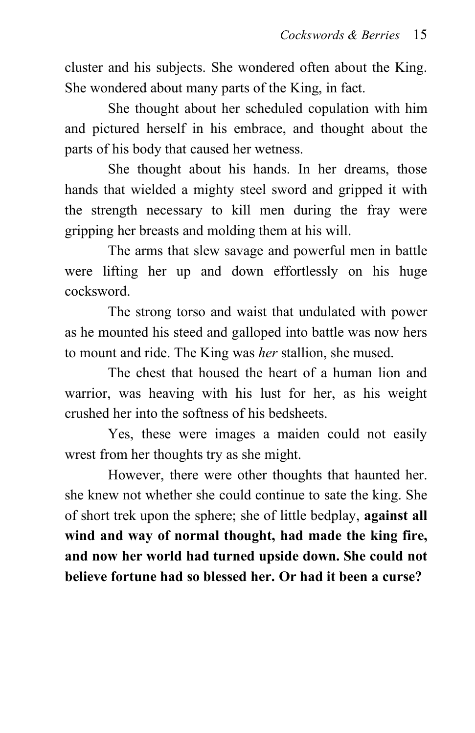cluster and his subjects. She wondered often about the King. She wondered about many parts of the King, in fact.

She thought about her scheduled copulation with him and pictured herself in his embrace, and thought about the parts of his body that caused her wetness.

She thought about his hands. In her dreams, those hands that wielded a mighty steel sword and gripped it with the strength necessary to kill men during the fray were gripping her breasts and molding them at his will.

The arms that slew savage and powerful men in battle were lifting her up and down effortlessly on his huge cocksword.

The strong torso and waist that undulated with power as he mounted his steed and galloped into battle was now hers to mount and ride. The King was *her* stallion, she mused.

The chest that housed the heart of a human lion and warrior, was heaving with his lust for her, as his weight crushed her into the softness of his bedsheets.

Yes, these were images a maiden could not easily wrest from her thoughts try as she might.

However, there were other thoughts that haunted her. she knew not whether she could continue to sate the king. She of short trek upon the sphere; she of little bedplay, **against all wind and way of normal thought, had made the king fire, and now her world had turned upside down. She could not believe fortune had so blessed her. Or had it been a curse?**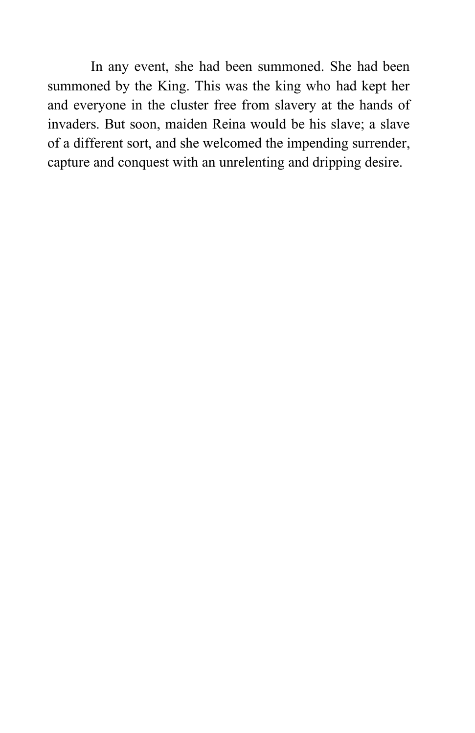In any event, she had been summoned. She had been summoned by the King. This was the king who had kept her and everyone in the cluster free from slavery at the hands of invaders. But soon, maiden Reina would be his slave; a slave of a different sort, and she welcomed the impending surrender, capture and conquest with an unrelenting and dripping desire.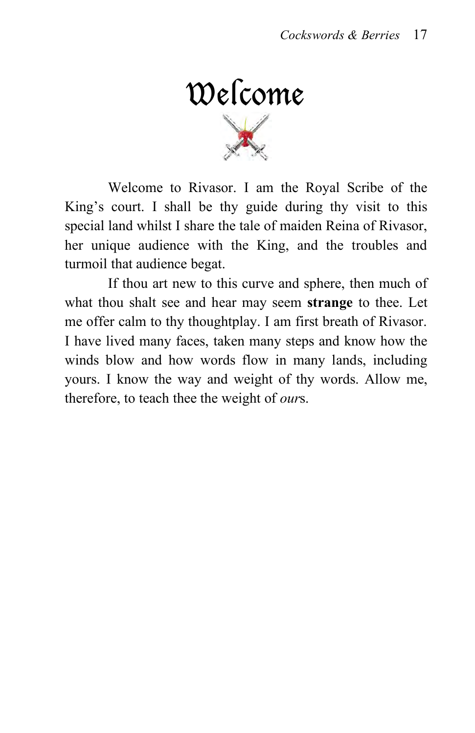

Welcome to Rivasor. I am the Royal Scribe of the King's court. I shall be thy guide during thy visit to this special land whilst I share the tale of maiden Reina of Rivasor, her unique audience with the King, and the troubles and turmoil that audience begat.

If thou art new to this curve and sphere, then much of what thou shalt see and hear may seem **strange** to thee. Let me offer calm to thy thoughtplay. I am first breath of Rivasor. I have lived many faces, taken many steps and know how the winds blow and how words flow in many lands, including yours. I know the way and weight of thy words. Allow me, therefore, to teach thee the weight of *our*s.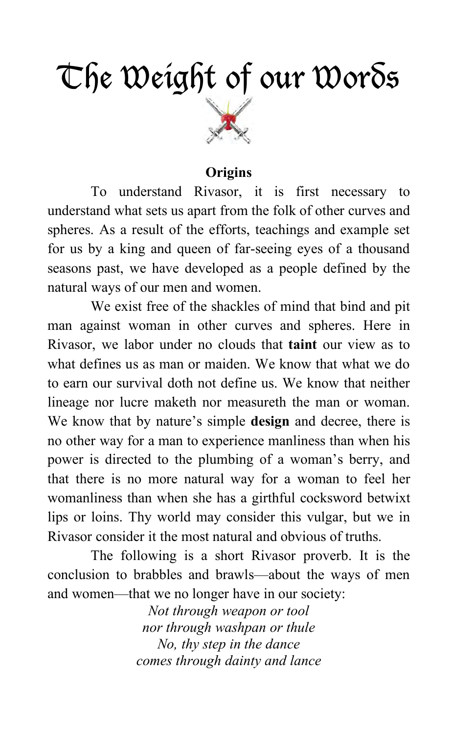## The Weight of our Words



#### **Origins**

To understand Rivasor, it is first necessary to understand what sets us apart from the folk of other curves and spheres. As a result of the efforts, teachings and example set for us by a king and queen of far-seeing eyes of a thousand seasons past, we have developed as a people defined by the natural ways of our men and women.

We exist free of the shackles of mind that bind and pit man against woman in other curves and spheres. Here in Rivasor, we labor under no clouds that **taint** our view as to what defines us as man or maiden. We know that what we do to earn our survival doth not define us. We know that neither lineage nor lucre maketh nor measureth the man or woman. We know that by nature's simple **design** and decree, there is no other way for a man to experience manliness than when his power is directed to the plumbing of a woman's berry, and that there is no more natural way for a woman to feel her womanliness than when she has a girthful cocksword betwixt lips or loins. Thy world may consider this vulgar, but we in Rivasor consider it the most natural and obvious of truths.

The following is a short Rivasor proverb. It is the conclusion to brabbles and brawls—about the ways of men and women—that we no longer have in our society:

> *Not through weapon or tool nor through washpan or thule No, thy step in the dance comes through dainty and lance*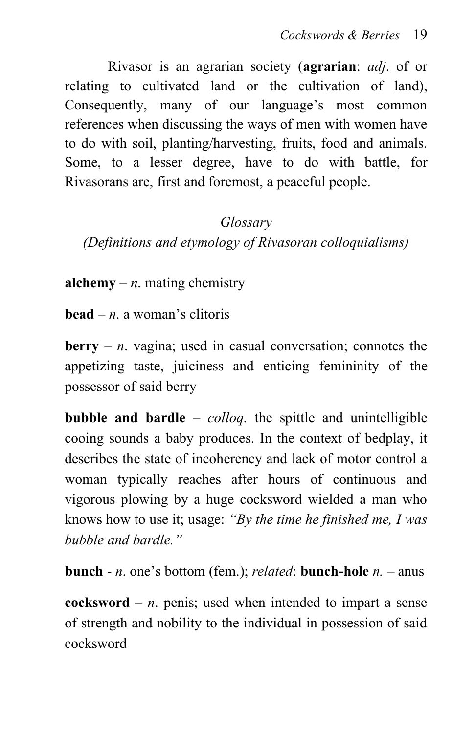Rivasor is an agrarian society (**agrarian**: *adj*. of or relating to cultivated land or the cultivation of land), Consequently, many of our language's most common references when discussing the ways of men with women have to do with soil, planting/harvesting, fruits, food and animals. Some, to a lesser degree, have to do with battle, for Rivasorans are, first and foremost, a peaceful people.

#### *Glossary*

*(Definitions and etymology of Rivasoran colloquialisms)*

**alchemy** – *n*. mating chemistry

**bead** – *n*. a woman's clitoris

**berry** – *n*. vagina; used in casual conversation; connotes the appetizing taste, juiciness and enticing femininity of the possessor of said berry

**bubble and bardle** – *colloq*. the spittle and unintelligible cooing sounds a baby produces. In the context of bedplay, it describes the state of incoherency and lack of motor control a woman typically reaches after hours of continuous and vigorous plowing by a huge cocksword wielded a man who knows how to use it; usage: *"By the time he finished me, I was bubble and bardle."*

**bunch** - *n*. one's bottom (fem.); *related*: **bunch-hole** *n.* – anus

**cocksword** –  $n$ . penis; used when intended to impart a sense of strength and nobility to the individual in possession of said cocksword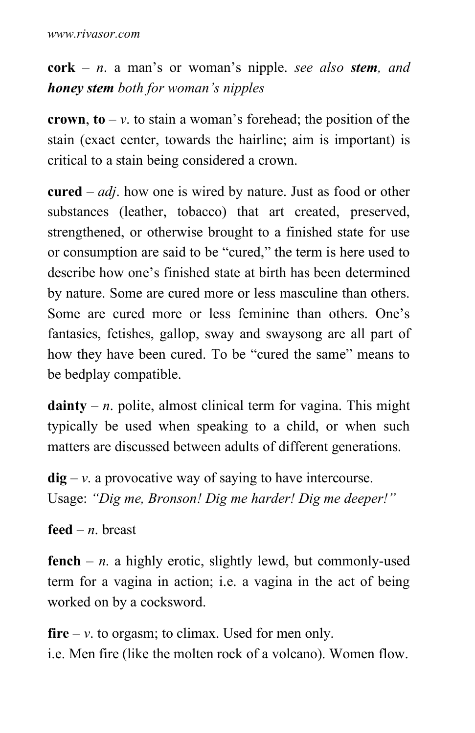**cork** – *n*. a man's or woman's nipple. *see also stem, and honey stem both for woman's nipples*

**crown, to**  $-v$ , to stain a woman's forehead; the position of the stain (exact center, towards the hairline; aim is important) is critical to a stain being considered a crown.

**cured** – *adj*. how one is wired by nature. Just as food or other substances (leather, tobacco) that art created, preserved, strengthened, or otherwise brought to a finished state for use or consumption are said to be "cured," the term is here used to describe how one's finished state at birth has been determined by nature. Some are cured more or less masculine than others. Some are cured more or less feminine than others. One's fantasies, fetishes, gallop, sway and swaysong are all part of how they have been cured. To be "cured the same" means to be bedplay compatible.

**dainty** – *n*. polite, almost clinical term for vagina. This might typically be used when speaking to a child, or when such matters are discussed between adults of different generations.

 $\mathbf{dig} - v$ . a provocative way of saying to have intercourse. Usage: *"Dig me, Bronson! Dig me harder! Dig me deeper!"*

**feed** – *n*. breast

**fench** – *n*. a highly erotic, slightly lewd, but commonly-used term for a vagina in action; i.e. a vagina in the act of being worked on by a cocksword.

**fire**  $-v$ , to orgasm; to climax. Used for men only. i.e. Men fire (like the molten rock of a volcano). Women flow.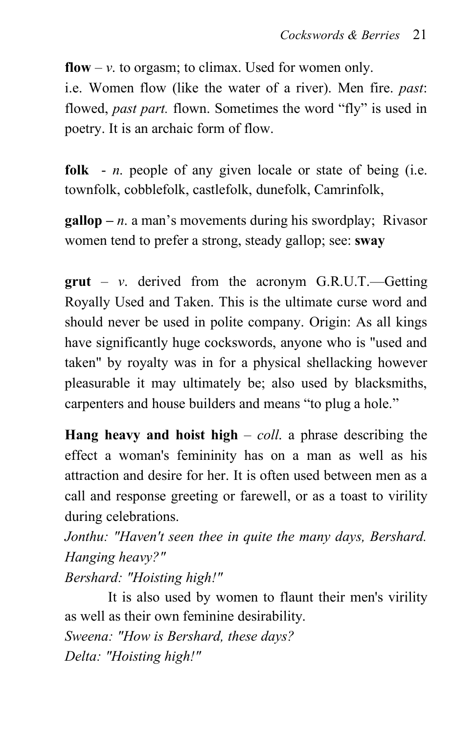**flow**  $-v$ , to orgasm; to climax. Used for women only.

i.e. Women flow (like the water of a river). Men fire. *past*: flowed, *past part*. flown. Sometimes the word "fly" is used in poetry. It is an archaic form of flow.

**folk** - *n*. people of any given locale or state of being (i.e. townfolk, cobblefolk, castlefolk, dunefolk, Camrinfolk,

**gallop –** *n*. a man's movements during his swordplay; Rivasor women tend to prefer a strong, steady gallop; see: **sway**

**grut** – *v*. derived from the acronym G.R.U.T. -- Getting Royally Used and Taken. This is the ultimate curse word and should never be used in polite company. Origin: As all kings have significantly huge cockswords, anyone who is "used and taken" by royalty was in for a physical shellacking however pleasurable it may ultimately be; also used by blacksmiths, carpenters and house builders and means "to plug a hole."

**Hang heavy and hoist high** – *coll*. a phrase describing the effect a woman's femininity has on a man as well as his attraction and desire for her. It is often used between men as a call and response greeting or farewell, or as a toast to virility during celebrations.

*Jonthu: "Haven't seen thee in quite the many days, Bershard. Hanging heavy?"*

*Bershard: "Hoisting high!"*

It is also used by women to flaunt their men's virility as well as their own feminine desirability.

*Sweena: "How is Bershard, these days? Delta: "Hoisting high!"*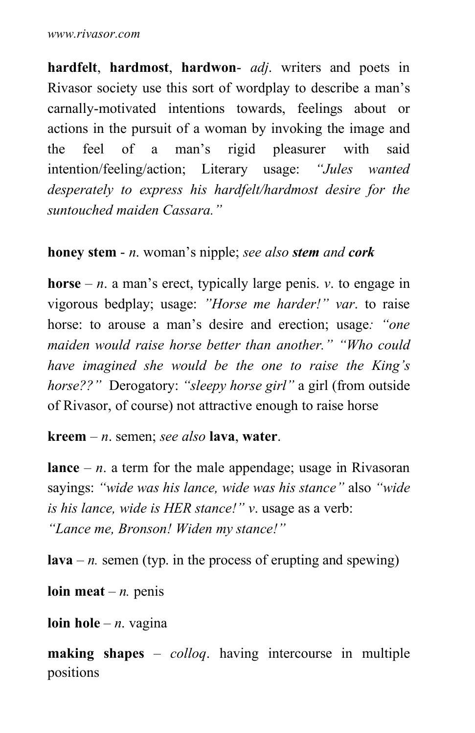**hardfelt**, **hardmost**, **hardwon**- *adj*. writers and poets in Rivasor society use this sort of wordplay to describe a man's carnally-motivated intentions towards, feelings about or actions in the pursuit of a woman by invoking the image and the feel of a man's rigid pleasurer with said intention/feeling/action; Literary usage: *"Jules wanted desperately to express his hardfelt/hardmost desire for the suntouched maiden Cassara."*

**honey stem** - *n*. woman's nipple; *see also stem and cork*

**horse** – *n*. a man's erect, typically large penis. *v*. to engage in vigorous bedplay; usage: *"Horse me harder!" var*. to raise horse: to arouse a man's desire and erection; usage*: "one maiden would raise horse better than another." "Who could have imagined she would be the one to raise the King's horse??"* Derogatory: *"sleepy horse girl"* a girl (from outside of Rivasor, of course) not attractive enough to raise horse

**kreem** – *n*. semen; *see also* **lava**, **water**.

**lance** –  $n$ . a term for the male appendage; usage in Rivasoran sayings: *"wide was his lance, wide was his stance"* also *"wide is his lance, wide is HER stance!" v*. usage as a verb: *"Lance me, Bronson! Widen my stance!"*

**lava** – *n.* semen (typ. in the process of erupting and spewing)

**loin meat** – *n*. penis

**loin hole** – *n*. vagina

**making shapes** – *colloq*. having intercourse in multiple positions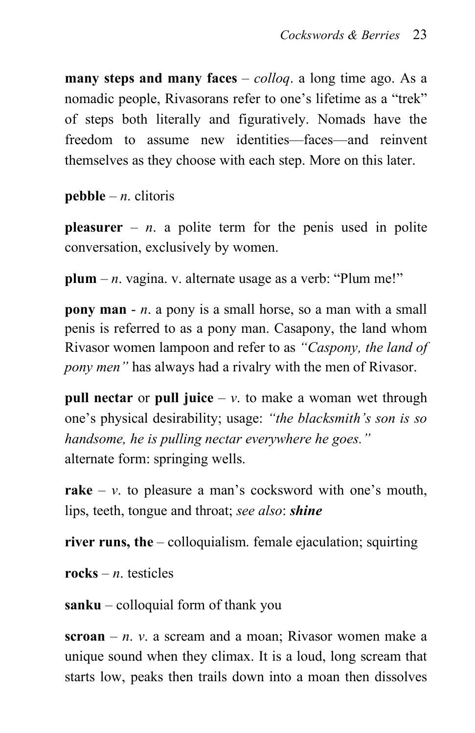**many steps and many faces** – *colloq*. a long time ago. As a nomadic people, Rivasorans refer to one's lifetime as a "trek" of steps both literally and figuratively. Nomads have the freedom to assume new identities—faces—and reinvent themselves as they choose with each step. More on this later.

**pebble** –  $n$ . clitoris

**pleasurer** – *n*. a polite term for the penis used in polite conversation, exclusively by women.

**plum** –  $n$ . vagina. v. alternate usage as a verb: "Plum me!"

**pony man** - *n*. a pony is a small horse, so a man with a small penis is referred to as a pony man. Casapony, the land whom Rivasor women lampoon and refer to as *"Caspony, the land of pony men"* has always had a rivalry with the men of Rivasor.

**pull nectar** or **pull juice**  $-v$ . to make a woman wet through one's physical desirability; usage: *"the blacksmith's son is so handsome, he is pulling nectar everywhere he goes."* alternate form: springing wells.

**rake** –  $v$ . to pleasure a man's cocksword with one's mouth, lips, teeth, tongue and throat; *see also*: *shine*

**river runs, the** – colloquialism. female ejaculation; squirting

**rocks** – *n*. testicles

**sanku** – colloquial form of thank you

**scroan** – *n*. *v*. a scream and a moan; Rivasor women make a unique sound when they climax. It is a loud, long scream that starts low, peaks then trails down into a moan then dissolves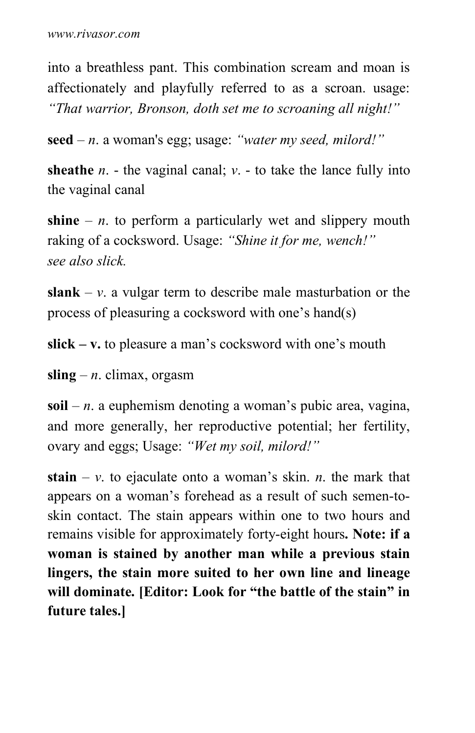into a breathless pant. This combination scream and moan is affectionately and playfully referred to as a scroan. usage: *"That warrior, Bronson, doth set me to scroaning all night!"*

**seed** – *n*. a woman's egg; usage: *"water my seed, milord!"*

**sheathe**  $n$ . - the vaginal canal;  $v$ . - to take the lance fully into the vaginal canal

**shine** – *n*. to perform a particularly wet and slippery mouth raking of a cocksword. Usage: *"Shine it for me, wench!" see also slick.*

**slank** –  $v$ . a vulgar term to describe male masturbation or the process of pleasuring a cocksword with one's hand(s)

**slick – v.** to pleasure a man's cocksword with one's mouth

**sling** – *n*. climax, orgasm

**soil** – *n*. a euphemism denoting a woman's pubic area, vagina, and more generally, her reproductive potential; her fertility, ovary and eggs; Usage: *"Wet my soil, milord!"*

**stain** – *v*. to ejaculate onto a woman's skin. *n*. the mark that appears on a woman's forehead as a result of such semen-toskin contact. The stain appears within one to two hours and remains visible for approximately forty-eight hours**. Note: if a woman is stained by another man while a previous stain lingers, the stain more suited to her own line and lineage will dominate. [Editor: Look for "the battle of the stain" in future tales.]**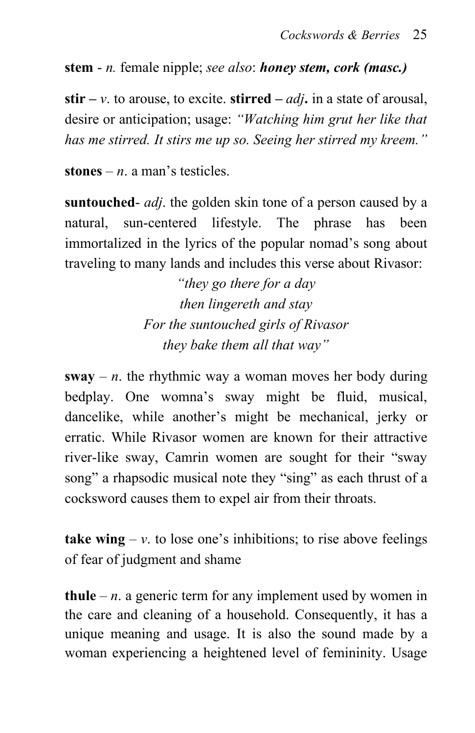**stem** - *n.* female nipple; *see also*: *honey stem, cork (masc.)*

**stir** – *v*. to arouse, to excite. **stirred** – *adj***.** in a state of arousal, desire or anticipation; usage: *"Watching him grut her like that has me stirred. It stirs me up so. Seeing her stirred my kreem."*

**stones** –  $n$ . a man's testicles.

**suntouched**- *adj*. the golden skin tone of a person caused by a natural, sun-centered lifestyle. The phrase has been immortalized in the lyrics of the popular nomad's song about traveling to many lands and includes this verse about Rivasor:

> *"they go there for a day then lingereth and stay For the suntouched girls of Rivasor they bake them all that way"*

**sway** – *n*. the rhythmic way a woman moves her body during bedplay. One womna's sway might be fluid, musical, dancelike, while another's might be mechanical, jerky or erratic. While Rivasor women are known for their attractive river-like sway, Camrin women are sought for their "sway song" a rhapsodic musical note they "sing" as each thrust of a cocksword causes them to expel air from their throats.

**take wing** –  $v$ . to lose one's inhibitions; to rise above feelings of fear of judgment and shame

**thule** – *n*. a generic term for any implement used by women in the care and cleaning of a household. Consequently, it has a unique meaning and usage. It is also the sound made by a woman experiencing a heightened level of femininity. Usage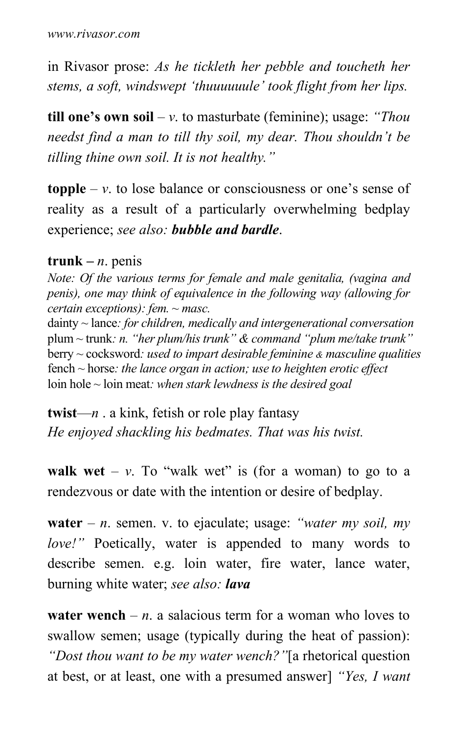in Rivasor prose: *As he tickleth her pebble and toucheth her stems, a soft, windswept 'thuuuuuule' took flight from her lips.*

**till one's own soil** –  $v$ , to masturbate (feminine); usage: *"Thou needst find a man to till thy soil, my dear. Thou shouldn't be tilling thine own soil. It is not healthy."*

**topple** – *v*. to lose balance or consciousness or one's sense of reality as a result of a particularly overwhelming bedplay experience; *see also: bubble and bardle*.

#### **trunk** – *n*. penis

*Note: Of the various terms for female and male genitalia, (vagina and penis), one may think of equivalence in the following way (allowing for certain exceptions): fem. ~ masc.*

dainty ~ lance*: for children, medically and intergenerational conversation* plum ~ trunk*: n. "her plum/his trunk" & command "plum me/take trunk"* berry *~* cocksword*: used to impart desirable feminine & masculine qualities* fench *~* horse*: the lance organ in action; use to heighten erotic effect* loin hole ~ loin meat*: when stark lewdness is the desired goal*

**twist**—*n* . a kink, fetish or role play fantasy *He enjoyed shackling his bedmates. That was his twist.*

**walk wet** –  $v$ . To "walk wet" is (for a woman) to go to a rendezvous or date with the intention or desire of bedplay.

**water** – *n*. semen. v. to ejaculate; usage: "water my soil, my *love!"* Poetically, water is appended to many words to describe semen. e.g. loin water, fire water, lance water, burning white water; *see also: lava*

**water wench** –  $n$ . a salacious term for a woman who loves to swallow semen; usage (typically during the heat of passion): *"Dost thou want to be my water wench?"*[a rhetorical question at best, or at least, one with a presumed answer] *"Yes, I want*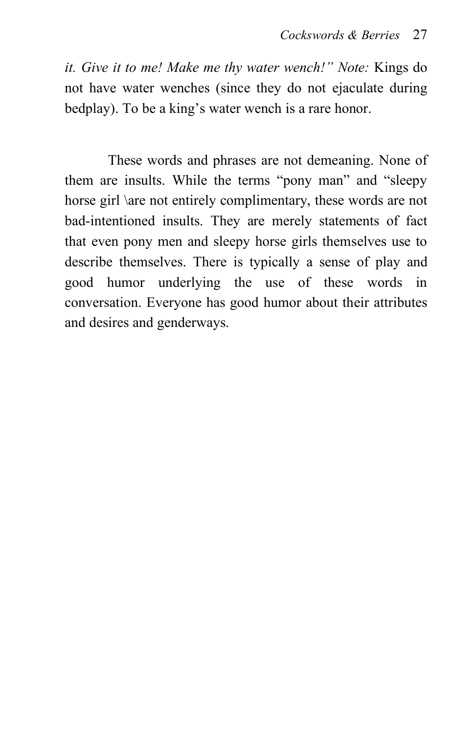*it. Give it to me! Make me thy water wench!" Note:* Kings do not have water wenches (since they do not ejaculate during bedplay). To be a king's water wench is a rare honor.

These words and phrases are not demeaning. None of them are insults. While the terms "pony man" and "sleepy horse girl \are not entirely complimentary, these words are not bad-intentioned insults. They are merely statements of fact that even pony men and sleepy horse girls themselves use to describe themselves. There is typically a sense of play and good humor underlying the use of these words in conversation. Everyone has good humor about their attributes and desires and genderways.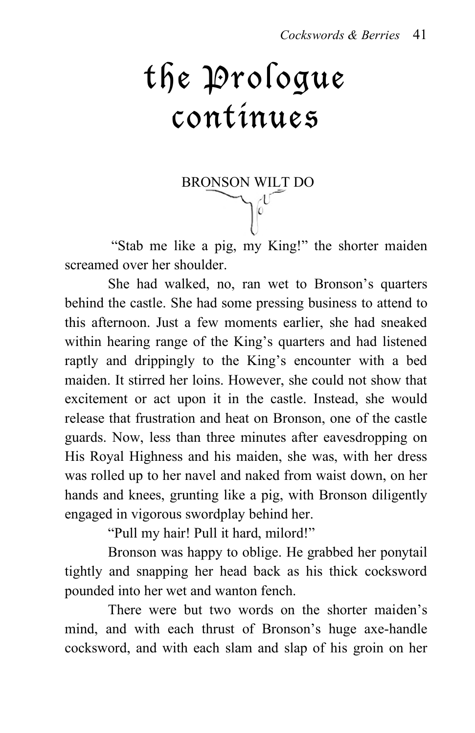# the Prologue continues

BRONSON WILT DO

"Stab me like a pig, my King!" the shorter maiden screamed over her shoulder.

She had walked, no, ran wet to Bronson's quarters behind the castle. She had some pressing business to attend to this afternoon. Just a few moments earlier, she had sneaked within hearing range of the King's quarters and had listened raptly and drippingly to the King's encounter with a bed maiden. It stirred her loins. However, she could not show that excitement or act upon it in the castle. Instead, she would release that frustration and heat on Bronson, one of the castle guards. Now, less than three minutes after eavesdropping on His Royal Highness and his maiden, she was, with her dress was rolled up to her navel and naked from waist down, on her hands and knees, grunting like a pig, with Bronson diligently engaged in vigorous swordplay behind her.

"Pull my hair! Pull it hard, milord!"

Bronson was happy to oblige. He grabbed her ponytail tightly and snapping her head back as his thick cocksword pounded into her wet and wanton fench.

There were but two words on the shorter maiden's mind, and with each thrust of Bronson's huge axe-handle cocksword, and with each slam and slap of his groin on her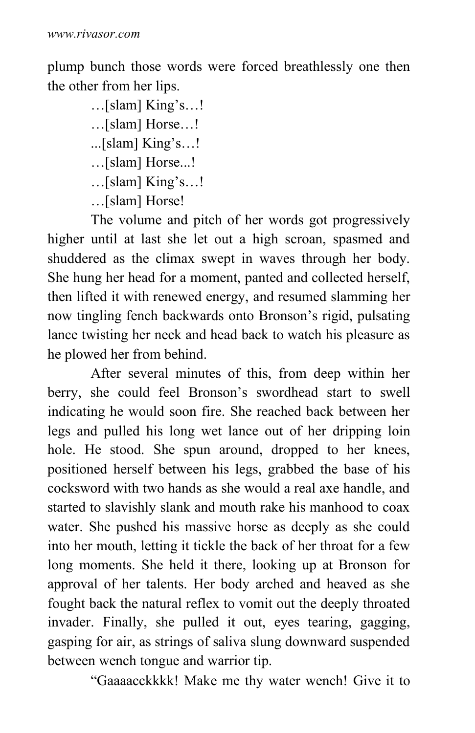plump bunch those words were forced breathlessly one then the other from her lips.

…[slam] King's…!

- …[slam] Horse…!
- ...[slam] King's…!

…[slam] Horse...!

- …[slam] King's…!
- …[slam] Horse!

The volume and pitch of her words got progressively higher until at last she let out a high scroan, spasmed and shuddered as the climax swept in waves through her body. She hung her head for a moment, panted and collected herself, then lifted it with renewed energy, and resumed slamming her now tingling fench backwards onto Bronson's rigid, pulsating lance twisting her neck and head back to watch his pleasure as he plowed her from behind.

After several minutes of this, from deep within her berry, she could feel Bronson's swordhead start to swell indicating he would soon fire. She reached back between her legs and pulled his long wet lance out of her dripping loin hole. He stood. She spun around, dropped to her knees, positioned herself between his legs, grabbed the base of his cocksword with two hands as she would a real axe handle, and started to slavishly slank and mouth rake his manhood to coax water. She pushed his massive horse as deeply as she could into her mouth, letting it tickle the back of her throat for a few long moments. She held it there, looking up at Bronson for approval of her talents. Her body arched and heaved as she fought back the natural reflex to vomit out the deeply throated invader. Finally, she pulled it out, eyes tearing, gagging, gasping for air, as strings of saliva slung downward suspended between wench tongue and warrior tip.

"Gaaaacckkkk! Make me thy water wench! Give it to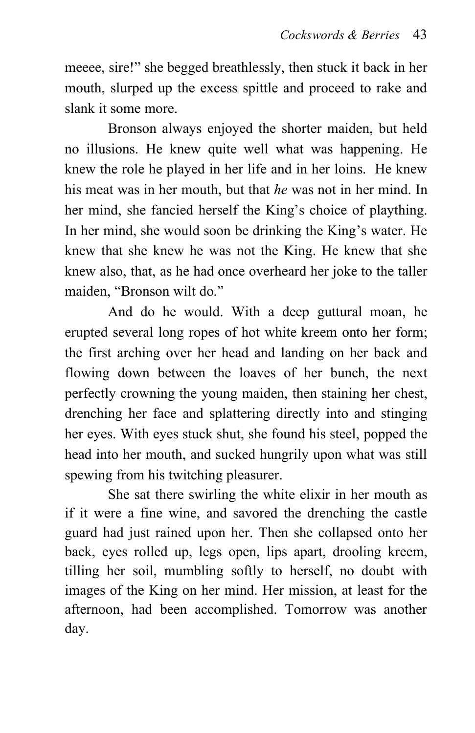meeee, sire!" she begged breathlessly, then stuck it back in her mouth, slurped up the excess spittle and proceed to rake and slank it some more.

Bronson always enjoyed the shorter maiden, but held no illusions. He knew quite well what was happening. He knew the role he played in her life and in her loins. He knew his meat was in her mouth, but that *he* was not in her mind. In her mind, she fancied herself the King's choice of plaything. In her mind, she would soon be drinking the King's water. He knew that she knew he was not the King. He knew that she knew also, that, as he had once overheard her joke to the taller maiden, "Bronson wilt do."

And do he would. With a deep guttural moan, he erupted several long ropes of hot white kreem onto her form; the first arching over her head and landing on her back and flowing down between the loaves of her bunch, the next perfectly crowning the young maiden, then staining her chest, drenching her face and splattering directly into and stinging her eyes. With eyes stuck shut, she found his steel, popped the head into her mouth, and sucked hungrily upon what was still spewing from his twitching pleasurer.

She sat there swirling the white elixir in her mouth as if it were a fine wine, and savored the drenching the castle guard had just rained upon her. Then she collapsed onto her back, eyes rolled up, legs open, lips apart, drooling kreem, tilling her soil, mumbling softly to herself, no doubt with images of the King on her mind. Her mission, at least for the afternoon, had been accomplished. Tomorrow was another day.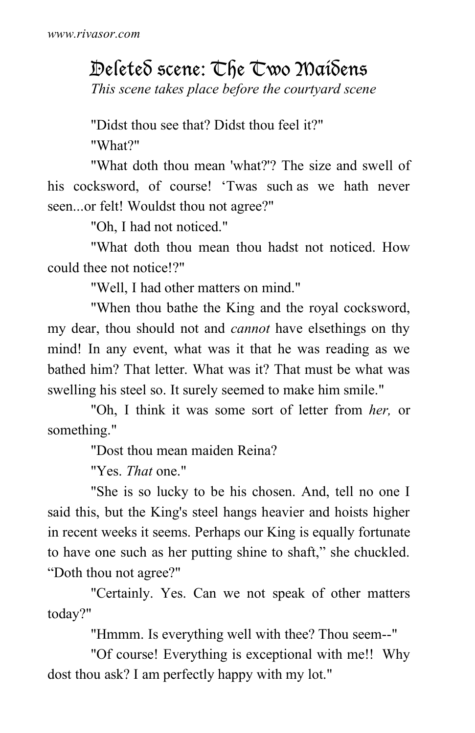### Deleted scene: The Two Maidens *This scene takes place before the courtyard scene*

"Didst thou see that? Didst thou feel it?" "What?"

"What doth thou mean 'what?'? The size and swell of his cocksword, of course! 'Twas such as we hath never seen...or felt! Wouldst thou not agree?"

"Oh, I had not noticed."

"What doth thou mean thou hadst not noticed. How could thee not notice!?"

"Well, I had other matters on mind."

"When thou bathe the King and the royal cocksword, my dear, thou should not and *cannot* have elsethings on thy mind! In any event, what was it that he was reading as we bathed him? That letter. What was it? That must be what was swelling his steel so. It surely seemed to make him smile."

"Oh, I think it was some sort of letter from *her,* or something."

"Dost thou mean maiden Reina?

"Yes. *That* one."

"She is so lucky to be his chosen. And, tell no one I said this, but the King's steel hangs heavier and hoists higher in recent weeks it seems. Perhaps our King is equally fortunate to have one such as her putting shine to shaft," she chuckled. "Doth thou not agree?"

"Certainly. Yes. Can we not speak of other matters today?"

"Hmmm. Is everything well with thee? Thou seem--"

"Of course! Everything is exceptional with me!! Why dost thou ask? I am perfectly happy with my lot."